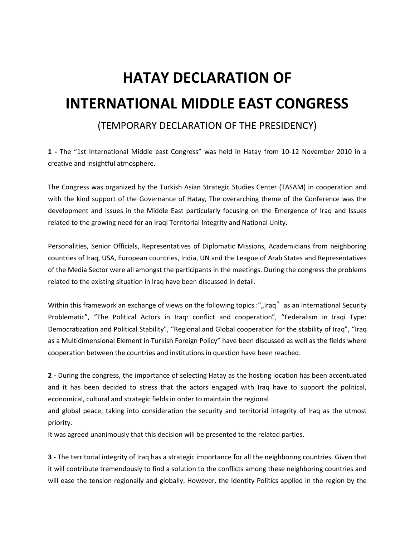## **HATAY DECLARATION OF INTERNATIONAL MIDDLE EAST CONGRESS**

## (TEMPORARY DECLARATION OF THE PRESIDENCY)

**1 -** The "1st International Middle east Congress" was held in Hatay from 10-12 November 2010 in a creative and insightful atmosphere.

The Congress was organized by the Turkish Asian Strategic Studies Center (TASAM) in cooperation and with the kind support of the Governance of Hatay, The overarching theme of the Conference was the development and issues in the Middle East particularly focusing on the Emergence of Iraq and Issues related to the growing need for an Iraqi Territorial Integrity and National Unity.

Personalities, Senior Officials, Representatives of Diplomatic Missions, Academicians from neighboring countries of Iraq, USA, European countries, India, UN and the League of Arab States and Representatives of the Media Sector were all amongst the participants in the meetings. During the congress the problems related to the existing situation in Iraq have been discussed in detail.

Within this framework an exchange of views on the following topics :",,Iraq" as an International Security Problematic", "The Political Actors in Iraq: conflict and cooperation", "Federalism in Iraqi Type: Democratization and Political Stability", "Regional and Global cooperation for the stability of Iraq", "Iraq as a Multidimensional Element in Turkish Foreign Policy" have been discussed as well as the fields where cooperation between the countries and institutions in question have been reached.

**2 -** During the congress, the importance of selecting Hatay as the hosting location has been accentuated and it has been decided to stress that the actors engaged with Iraq have to support the political, economical, cultural and strategic fields in order to maintain the regional

and global peace, taking into consideration the security and territorial integrity of Iraq as the utmost priority.

It was agreed unanimously that this decision will be presented to the related parties.

**3 -** The territorial integrity of Iraq has a strategic importance for all the neighboring countries. Given that it will contribute tremendously to find a solution to the conflicts among these neighboring countries and will ease the tension regionally and globally. However, the Identity Politics applied in the region by the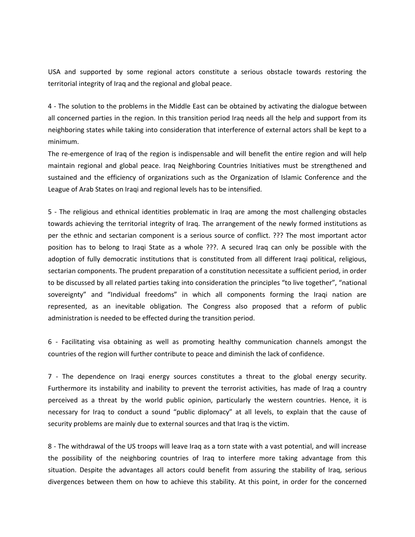USA and supported by some regional actors constitute a serious obstacle towards restoring the territorial integrity of Iraq and the regional and global peace.

4 - The solution to the problems in the Middle East can be obtained by activating the dialogue between all concerned parties in the region. In this transition period Iraq needs all the help and support from its neighboring states while taking into consideration that interference of external actors shall be kept to a minimum.

The re-emergence of Iraq of the region is indispensable and will benefit the entire region and will help maintain regional and global peace. Iraq Neighboring Countries Initiatives must be strengthened and sustained and the efficiency of organizations such as the Organization of Islamic Conference and the League of Arab States on Iraqi and regional levels has to be intensified.

5 - The religious and ethnical identities problematic in Iraq are among the most challenging obstacles towards achieving the territorial integrity of Iraq. The arrangement of the newly formed institutions as per the ethnic and sectarian component is a serious source of conflict. ??? The most important actor position has to belong to Iraqi State as a whole ???. A secured Iraq can only be possible with the adoption of fully democratic institutions that is constituted from all different Iraqi political, religious, sectarian components. The prudent preparation of a constitution necessitate a sufficient period, in order to be discussed by all related parties taking into consideration the principles "to live together", "national sovereignty" and "Individual freedoms" in which all components forming the Iraqi nation are represented, as an inevitable obligation. The Congress also proposed that a reform of public administration is needed to be effected during the transition period.

6 - Facilitating visa obtaining as well as promoting healthy communication channels amongst the countries of the region will further contribute to peace and diminish the lack of confidence.

7 - The dependence on Iraqi energy sources constitutes a threat to the global energy security. Furthermore its instability and inability to prevent the terrorist activities, has made of Iraq a country perceived as a threat by the world public opinion, particularly the western countries. Hence, it is necessary for Iraq to conduct a sound "public diplomacy" at all levels, to explain that the cause of security problems are mainly due to external sources and that Iraq is the victim.

8 - The withdrawal of the US troops will leave Iraq as a torn state with a vast potential, and will increase the possibility of the neighboring countries of Iraq to interfere more taking advantage from this situation. Despite the advantages all actors could benefit from assuring the stability of Iraq, serious divergences between them on how to achieve this stability. At this point, in order for the concerned